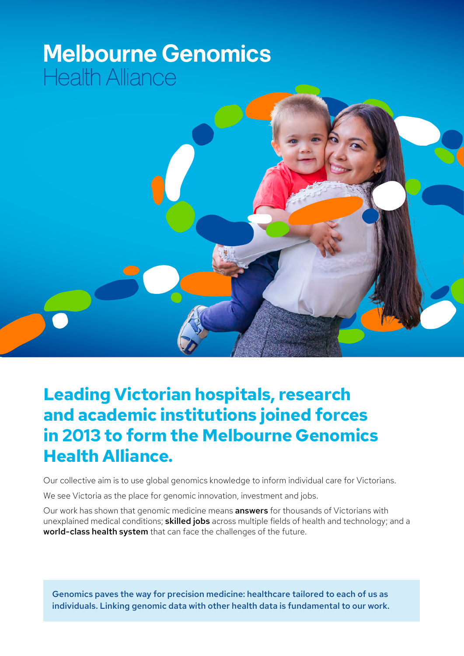# **Melbourne Genomics Health Alliance**

**Header?**



Our collective aim is to use global genomics knowledge to inform individual care for Victorians.

We see Victoria as the place for genomic innovation, investment and jobs.

Our work has shown that genomic medicine means **answers** for thousands of Victorians with unexplained medical conditions; **skilled jobs** across multiple fields of health and technology; and a **world-class health system** that can face the challenges of the future.

Genomics paves the way for precision medicine: healthcare tailored to each of us as individuals. Linking genomic data with other health data is fundamental to our work.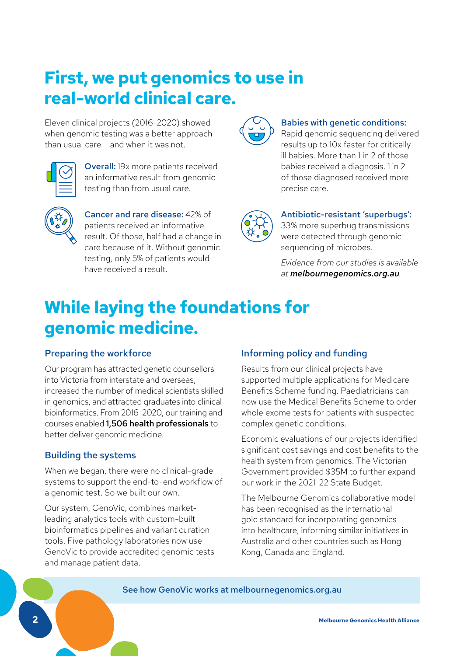## **First, we put genomics to use in real-world clinical care.**

Eleven clinical projects (2016-2020) showed when genomic testing was a better approach than usual care – and when it was not.



**Overall:** 19x more patients received an informative result from genomic testing than from usual care.



**Cancer and rare disease:** 42% of patients received an informative result. Of those, half had a change in care because of it. Without genomic testing, only 5% of patients would have received a result.



#### **Babies with genetic conditions:**

Rapid genomic sequencing delivered results up to 10x faster for critically ill babies. More than 1 in 2 of those babies received a diagnosis. 1 in 2 of those diagnosed received more precise care.



#### **Antibiotic-resistant 'superbugs':**

33% more superbug transmissions were detected through genomic sequencing of microbes.

*Evidence from our studies is available at melbournegenomics.org.au.*

## **While laying the foundations for genomic medicine.**

#### **Preparing the workforce**

Our program has attracted genetic counsellors into Victoria from interstate and overseas, increased the number of medical scientists skilled in genomics, and attracted graduates into clinical bioinformatics. From 2016-2020, our training and courses enabled **1,506 health professionals** to better deliver genomic medicine.

#### **Building the systems**

When we began, there were no clinical-grade systems to support the end-to-end workflow of a genomic test. So we built our own.

Our system, GenoVic, combines marketleading analytics tools with custom-built bioinformatics pipelines and variant curation tools. Five pathology laboratories now use GenoVic to provide accredited genomic tests and manage patient data.

### **Informing policy and funding**

Results from our clinical projects have supported multiple applications for Medicare Benefits Scheme funding. Paediatricians can now use the Medical Benefits Scheme to order whole exome tests for patients with suspected complex genetic conditions.

Economic evaluations of our projects identified significant cost savings and cost benefits to the health system from genomics. The Victorian Government provided \$35M to further expand our work in the 2021-22 State Budget.

The Melbourne Genomics collaborative model has been recognised as the international gold standard for incorporating genomics into healthcare, informing similar initiatives in Australia and other countries such as Hong Kong, Canada and England.

See how GenoVic works at melbournegenomics.org.au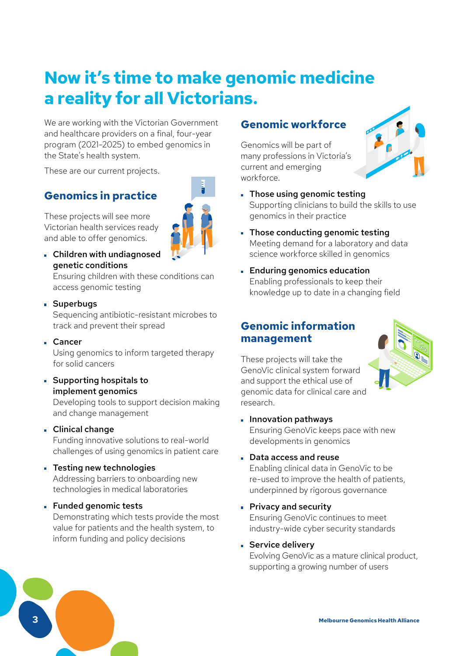## **Now it's time to make genomic medicine a reality for all Victorians.**

We are working with the Victorian Government and healthcare providers on a final, four-year program (2021-2025) to embed genomics in the State's health system.

These are our current projects.

## **Genomics in practice**



These projects will see more Victorian health services ready and able to offer genomics.

 **Children with undiagnosed genetic conditions**

Ensuring children with these conditions can access genomic testing

**Superbugs**

Sequencing antibiotic-resistant microbes to track and prevent their spread

**Cancer**

Using genomics to inform targeted therapy for solid cancers

 **Supporting hospitals to implement genomics**

Developing tools to support decision making and change management

**Clinical change**

Funding innovative solutions to real-world challenges of using genomics in patient care

- **Testing new technologies** Addressing barriers to onboarding new technologies in medical laboratories
- **Funded genomic tests**

Demonstrating which tests provide the most value for patients and the health system, to inform funding and policy decisions

### **Genomic workforce**

Genomics will be part of many professions in Victoria's current and emerging workforce.



- **Those using genomic testing** Supporting clinicians to build the skills to use genomics in their practice
- **Those conducting genomic testing**  Meeting demand for a laboratory and data science workforce skilled in genomics
- **Enduring genomics education** Enabling professionals to keep their knowledge up to date in a changing field

### **Genomic information management**

These projects will take the GenoVic clinical system forward and support the ethical use of genomic data for clinical care and research.



- **Innovation pathways** Ensuring GenoVic keeps pace with new developments in genomics
- **Data access and reuse**

Enabling clinical data in GenoVic to be re-used to improve the health of patients, underpinned by rigorous governance

- **Privacy and security** Ensuring GenoVic continues to meet industry-wide cyber security standards
- **Service delivery**

Evolving GenoVic as a mature clinical product, supporting a growing number of users